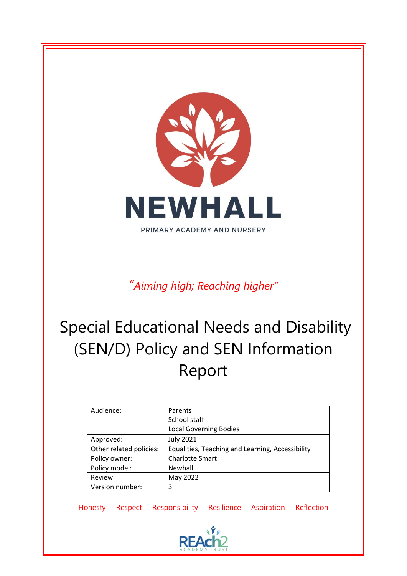

*"Aiming high; Reaching higher"*

# Special Educational Needs and Disability (SEN/D) Policy and SEN Information Report

| Audience:               | Parents                                          |
|-------------------------|--------------------------------------------------|
|                         | School staff                                     |
|                         | <b>Local Governing Bodies</b>                    |
| Approved:               | <b>July 2021</b>                                 |
| Other related policies: | Equalities, Teaching and Learning, Accessibility |
| Policy owner:           | <b>Charlotte Smart</b>                           |
| Policy model:           | Newhall                                          |
| Review:                 | May 2022                                         |
| Version number:         | 3                                                |

Honesty Respect Responsibility Resilience Aspiration Reflection

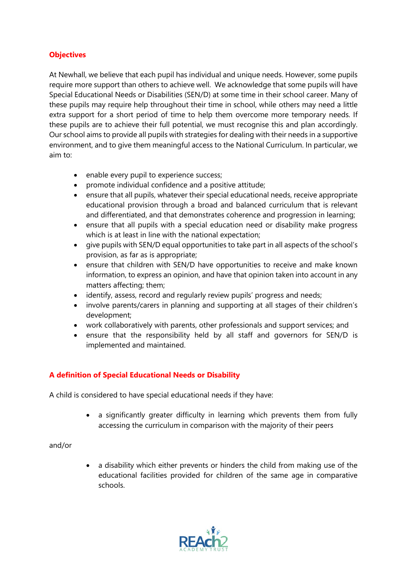### **Objectives**

At Newhall, we believe that each pupil has individual and unique needs. However, some pupils require more support than others to achieve well. We acknowledge that some pupils will have Special Educational Needs or Disabilities (SEN/D) at some time in their school career. Many of these pupils may require help throughout their time in school, while others may need a little extra support for a short period of time to help them overcome more temporary needs. If these pupils are to achieve their full potential, we must recognise this and plan accordingly. Our school aims to provide all pupils with strategies for dealing with their needs in a supportive environment, and to give them meaningful access to the National Curriculum. In particular, we aim to:

- enable every pupil to experience success;
- promote individual confidence and a positive attitude;
- ensure that all pupils, whatever their special educational needs, receive appropriate educational provision through a broad and balanced curriculum that is relevant and differentiated, and that demonstrates coherence and progression in learning;
- ensure that all pupils with a special education need or disability make progress which is at least in line with the national expectation;
- give pupils with SEN/D equal opportunities to take part in all aspects of the school's provision, as far as is appropriate;
- ensure that children with SEN/D have opportunities to receive and make known information, to express an opinion, and have that opinion taken into account in any matters affecting; them;
- identify, assess, record and regularly review pupils' progress and needs;
- involve parents/carers in planning and supporting at all stages of their children's development;
- work collaboratively with parents, other professionals and support services; and
- ensure that the responsibility held by all staff and governors for SEN/D is implemented and maintained.

## **A definition of Special Educational Needs or Disability**

A child is considered to have special educational needs if they have:

• a significantly greater difficulty in learning which prevents them from fully accessing the curriculum in comparison with the majority of their peers

and/or

• a disability which either prevents or hinders the child from making use of the educational facilities provided for children of the same age in comparative schools.

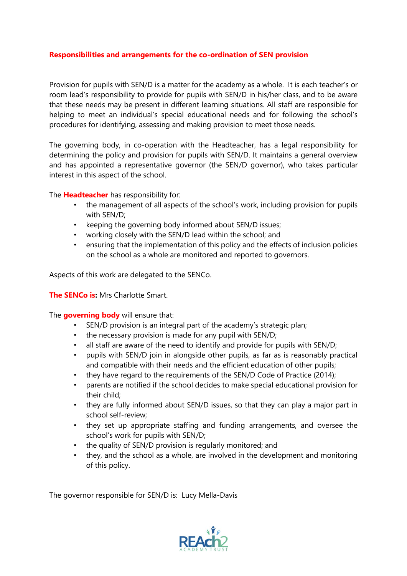#### **Responsibilities and arrangements for the co-ordination of SEN provision**

Provision for pupils with SEN/D is a matter for the academy as a whole. It is each teacher's or room lead's responsibility to provide for pupils with SEN/D in his/her class, and to be aware that these needs may be present in different learning situations. All staff are responsible for helping to meet an individual's special educational needs and for following the school's procedures for identifying, assessing and making provision to meet those needs.

The governing body, in co-operation with the Headteacher, has a legal responsibility for determining the policy and provision for pupils with SEN/D. It maintains a general overview and has appointed a representative governor (the SEN/D governor), who takes particular interest in this aspect of the school.

The **Headteacher** has responsibility for:

- the management of all aspects of the school's work, including provision for pupils with SEN/D;
- keeping the governing body informed about SEN/D issues;
- working closely with the SEN/D lead within the school; and
- ensuring that the implementation of this policy and the effects of inclusion policies on the school as a whole are monitored and reported to governors.

Aspects of this work are delegated to the SENCo.

**The SENCo is:** Mrs Charlotte Smart.

The **governing body** will ensure that:

- SEN/D provision is an integral part of the academy's strategic plan;
- the necessary provision is made for any pupil with SEN/D;
- all staff are aware of the need to identify and provide for pupils with SEN/D;
- pupils with SEN/D join in alongside other pupils, as far as is reasonably practical and compatible with their needs and the efficient education of other pupils;
- they have regard to the requirements of the SEN/D Code of Practice (2014);
- parents are notified if the school decides to make special educational provision for their child;
- they are fully informed about SEN/D issues, so that they can play a major part in school self-review;
- they set up appropriate staffing and funding arrangements, and oversee the school's work for pupils with SEN/D;
- the quality of SEN/D provision is regularly monitored; and
- they, and the school as a whole, are involved in the development and monitoring of this policy.

The governor responsible for SEN/D is: Lucy Mella-Davis

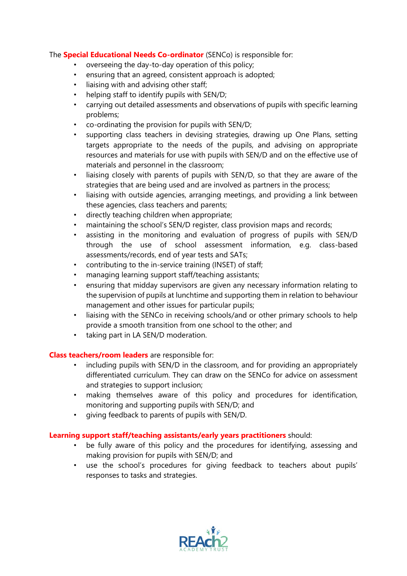#### The **Special Educational Needs Co-ordinator** (SENCo) is responsible for:

- overseeing the day-to-day operation of this policy;
- ensuring that an agreed, consistent approach is adopted;
- liaising with and advising other staff;
- helping staff to identify pupils with SEN/D;
- carrying out detailed assessments and observations of pupils with specific learning problems;
- co-ordinating the provision for pupils with SEN/D;
- supporting class teachers in devising strategies, drawing up One Plans, setting targets appropriate to the needs of the pupils, and advising on appropriate resources and materials for use with pupils with SEN/D and on the effective use of materials and personnel in the classroom;
- liaising closely with parents of pupils with SEN/D, so that they are aware of the strategies that are being used and are involved as partners in the process;
- liaising with outside agencies, arranging meetings, and providing a link between these agencies, class teachers and parents;
- directly teaching children when appropriate;
- maintaining the school's SEN/D register, class provision maps and records;
- assisting in the monitoring and evaluation of progress of pupils with SEN/D through the use of school assessment information, e.g. class-based assessments/records, end of year tests and SATs;
- contributing to the in-service training (INSET) of staff;
- managing learning support staff/teaching assistants;
- ensuring that midday supervisors are given any necessary information relating to the supervision of pupils at lunchtime and supporting them in relation to behaviour management and other issues for particular pupils;
- liaising with the SENCo in receiving schools/and or other primary schools to help provide a smooth transition from one school to the other; and
- taking part in LA SEN/D moderation.

#### **Class teachers/room leaders** are responsible for:

- including pupils with SEN/D in the classroom, and for providing an appropriately differentiated curriculum. They can draw on the SENCo for advice on assessment and strategies to support inclusion;
- making themselves aware of this policy and procedures for identification, monitoring and supporting pupils with SEN/D; and
- giving feedback to parents of pupils with SEN/D.

#### **Learning support staff/teaching assistants/early years practitioners** should:

- be fully aware of this policy and the procedures for identifying, assessing and making provision for pupils with SEN/D; and
- use the school's procedures for giving feedback to teachers about pupils' responses to tasks and strategies.

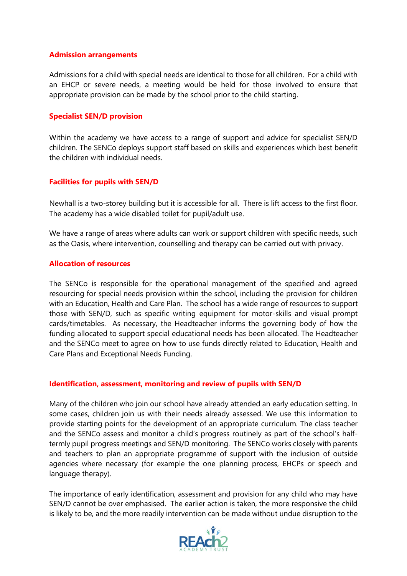#### **Admission arrangements**

Admissions for a child with special needs are identical to those for all children. For a child with an EHCP or severe needs, a meeting would be held for those involved to ensure that appropriate provision can be made by the school prior to the child starting.

#### **Specialist SEN/D provision**

Within the academy we have access to a range of support and advice for specialist SEN/D children. The SENCo deploys support staff based on skills and experiences which best benefit the children with individual needs.

#### **Facilities for pupils with SEN/D**

Newhall is a two-storey building but it is accessible for all. There is lift access to the first floor. The academy has a wide disabled toilet for pupil/adult use.

We have a range of areas where adults can work or support children with specific needs, such as the Oasis, where intervention, counselling and therapy can be carried out with privacy.

#### **Allocation of resources**

The SENCo is responsible for the operational management of the specified and agreed resourcing for special needs provision within the school, including the provision for children with an Education, Health and Care Plan. The school has a wide range of resources to support those with SEN/D, such as specific writing equipment for motor-skills and visual prompt cards/timetables. As necessary, the Headteacher informs the governing body of how the funding allocated to support special educational needs has been allocated. The Headteacher and the SENCo meet to agree on how to use funds directly related to Education, Health and Care Plans and Exceptional Needs Funding.

#### **Identification, assessment, monitoring and review of pupils with SEN/D**

Many of the children who join our school have already attended an early education setting. In some cases, children join us with their needs already assessed. We use this information to provide starting points for the development of an appropriate curriculum. The class teacher and the SENCo assess and monitor a child's progress routinely as part of the school's halftermly pupil progress meetings and SEN/D monitoring. The SENCo works closely with parents and teachers to plan an appropriate programme of support with the inclusion of outside agencies where necessary (for example the one planning process, EHCPs or speech and language therapy).

The importance of early identification, assessment and provision for any child who may have SEN/D cannot be over emphasised. The earlier action is taken, the more responsive the child is likely to be, and the more readily intervention can be made without undue disruption to the

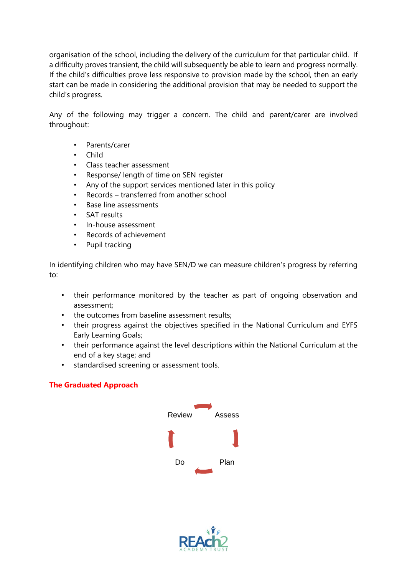organisation of the school, including the delivery of the curriculum for that particular child. If a difficulty proves transient, the child will subsequently be able to learn and progress normally. If the child's difficulties prove less responsive to provision made by the school, then an early start can be made in considering the additional provision that may be needed to support the child's progress.

Any of the following may trigger a concern. The child and parent/carer are involved throughout:

- Parents/carer
- Child
- Class teacher assessment
- Response/ length of time on SEN register
- Any of the support services mentioned later in this policy
- Records transferred from another school
- Base line assessments
- SAT results
- In-house assessment
- Records of achievement
- Pupil tracking

In identifying children who may have SEN/D we can measure children's progress by referring to:

- their performance monitored by the teacher as part of ongoing observation and assessment;
- the outcomes from baseline assessment results;
- their progress against the objectives specified in the National Curriculum and EYFS Early Learning Goals;
- their performance against the level descriptions within the National Curriculum at the end of a key stage; and
- standardised screening or assessment tools.

#### **The Graduated Approach**



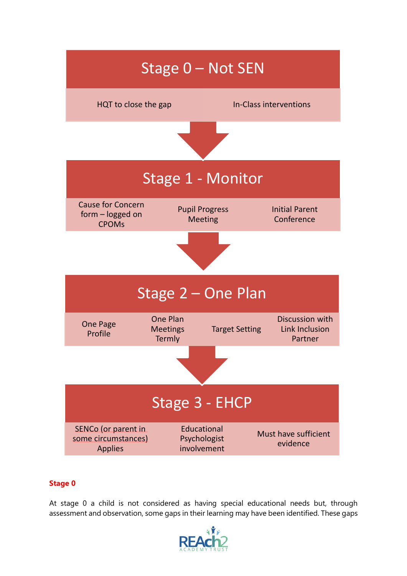

# **Stage 0**

At stage 0 a child is not considered as having special educational needs but, through assessment and observation, some gaps in their learning may have been identified. These gaps

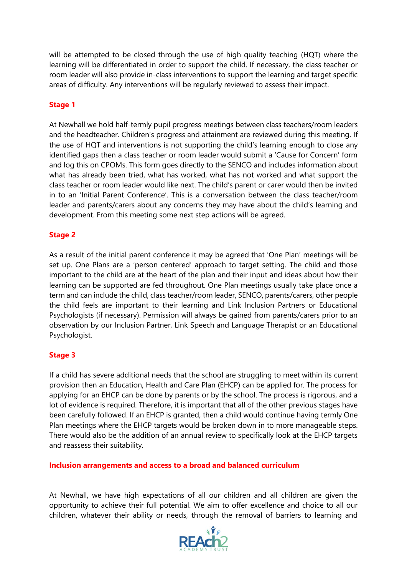will be attempted to be closed through the use of high quality teaching (HQT) where the learning will be differentiated in order to support the child. If necessary, the class teacher or room leader will also provide in-class interventions to support the learning and target specific areas of difficulty. Any interventions will be regularly reviewed to assess their impact.

#### **Stage 1**

At Newhall we hold half-termly pupil progress meetings between class teachers/room leaders and the headteacher. Children's progress and attainment are reviewed during this meeting. If the use of HQT and interventions is not supporting the child's learning enough to close any identified gaps then a class teacher or room leader would submit a 'Cause for Concern' form and log this on CPOMs. This form goes directly to the SENCO and includes information about what has already been tried, what has worked, what has not worked and what support the class teacher or room leader would like next. The child's parent or carer would then be invited in to an 'Initial Parent Conference'. This is a conversation between the class teacher/room leader and parents/carers about any concerns they may have about the child's learning and development. From this meeting some next step actions will be agreed.

#### **Stage 2**

As a result of the initial parent conference it may be agreed that 'One Plan' meetings will be set up. One Plans are a 'person centered' approach to target setting. The child and those important to the child are at the heart of the plan and their input and ideas about how their learning can be supported are fed throughout. One Plan meetings usually take place once a term and can include the child, class teacher/room leader, SENCO, parents/carers, other people the child feels are important to their learning and Link Inclusion Partners or Educational Psychologists (if necessary). Permission will always be gained from parents/carers prior to an observation by our Inclusion Partner, Link Speech and Language Therapist or an Educational Psychologist.

#### **Stage 3**

If a child has severe additional needs that the school are struggling to meet within its current provision then an Education, Health and Care Plan (EHCP) can be applied for. The process for applying for an EHCP can be done by parents or by the school. The process is rigorous, and a lot of evidence is required. Therefore, it is important that all of the other previous stages have been carefully followed. If an EHCP is granted, then a child would continue having termly One Plan meetings where the EHCP targets would be broken down in to more manageable steps. There would also be the addition of an annual review to specifically look at the EHCP targets and reassess their suitability.

**Inclusion arrangements and access to a broad and balanced curriculum**

At Newhall, we have high expectations of all our children and all children are given the opportunity to achieve their full potential. We aim to offer excellence and choice to all our children, whatever their ability or needs, through the removal of barriers to learning and

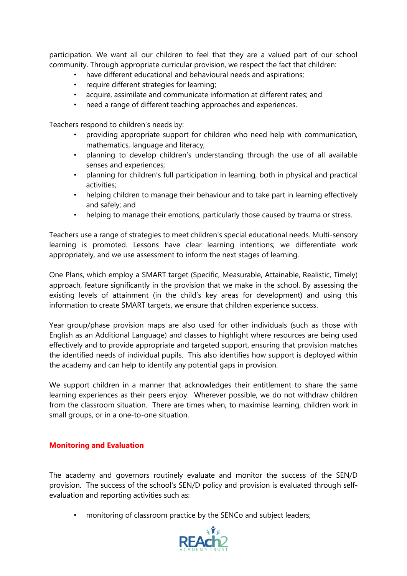participation. We want all our children to feel that they are a valued part of our school community. Through appropriate curricular provision, we respect the fact that children:

- have different educational and behavioural needs and aspirations;
- require different strategies for learning;
- acquire, assimilate and communicate information at different rates; and
- need a range of different teaching approaches and experiences.

Teachers respond to children's needs by:

- providing appropriate support for children who need help with communication, mathematics, language and literacy;
- planning to develop children's understanding through the use of all available senses and experiences;
- planning for children's full participation in learning, both in physical and practical activities;
- helping children to manage their behaviour and to take part in learning effectively and safely; and
- helping to manage their emotions, particularly those caused by trauma or stress.

Teachers use a range of strategies to meet children's special educational needs. Multi-sensory learning is promoted. Lessons have clear learning intentions; we differentiate work appropriately, and we use assessment to inform the next stages of learning.

One Plans, which employ a SMART target (Specific, Measurable, Attainable, Realistic, Timely) approach, feature significantly in the provision that we make in the school. By assessing the existing levels of attainment (in the child's key areas for development) and using this information to create SMART targets, we ensure that children experience success.

Year group/phase provision maps are also used for other individuals (such as those with English as an Additional Language) and classes to highlight where resources are being used effectively and to provide appropriate and targeted support, ensuring that provision matches the identified needs of individual pupils. This also identifies how support is deployed within the academy and can help to identify any potential gaps in provision.

We support children in a manner that acknowledges their entitlement to share the same learning experiences as their peers enjoy. Wherever possible, we do not withdraw children from the classroom situation. There are times when, to maximise learning, children work in small groups, or in a one-to-one situation.

#### **Monitoring and Evaluation**

The academy and governors routinely evaluate and monitor the success of the SEN/D provision. The success of the school's SEN/D policy and provision is evaluated through selfevaluation and reporting activities such as:

• monitoring of classroom practice by the SENCo and subject leaders;

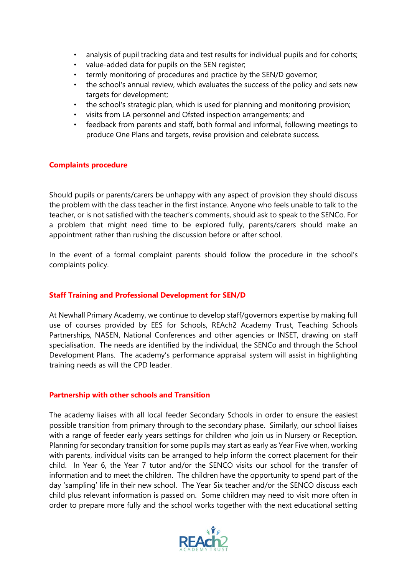- analysis of pupil tracking data and test results for individual pupils and for cohorts;
- value-added data for pupils on the SEN register;
- termly monitoring of procedures and practice by the SEN/D governor;
- the school's annual review, which evaluates the success of the policy and sets new targets for development;
- the school's strategic plan, which is used for planning and monitoring provision;
- visits from LA personnel and Ofsted inspection arrangements; and
- feedback from parents and staff, both formal and informal, following meetings to produce One Plans and targets, revise provision and celebrate success.

#### **Complaints procedure**

Should pupils or parents/carers be unhappy with any aspect of provision they should discuss the problem with the class teacher in the first instance. Anyone who feels unable to talk to the teacher, or is not satisfied with the teacher's comments, should ask to speak to the SENCo. For a problem that might need time to be explored fully, parents/carers should make an appointment rather than rushing the discussion before or after school.

In the event of a formal complaint parents should follow the procedure in the school's complaints policy.

#### **Staff Training and Professional Development for SEN/D**

At Newhall Primary Academy, we continue to develop staff/governors expertise by making full use of courses provided by EES for Schools, REAch2 Academy Trust, Teaching Schools Partnerships, NASEN, National Conferences and other agencies or INSET, drawing on staff specialisation. The needs are identified by the individual, the SENCo and through the School Development Plans. The academy's performance appraisal system will assist in highlighting training needs as will the CPD leader.

#### **Partnership with other schools and Transition**

The academy liaises with all local feeder Secondary Schools in order to ensure the easiest possible transition from primary through to the secondary phase. Similarly, our school liaises with a range of feeder early years settings for children who join us in Nursery or Reception. Planning for secondary transition for some pupils may start as early as Year Five when, working with parents, individual visits can be arranged to help inform the correct placement for their child. In Year 6, the Year 7 tutor and/or the SENCO visits our school for the transfer of information and to meet the children. The children have the opportunity to spend part of the day 'sampling' life in their new school. The Year Six teacher and/or the SENCO discuss each child plus relevant information is passed on. Some children may need to visit more often in order to prepare more fully and the school works together with the next educational setting

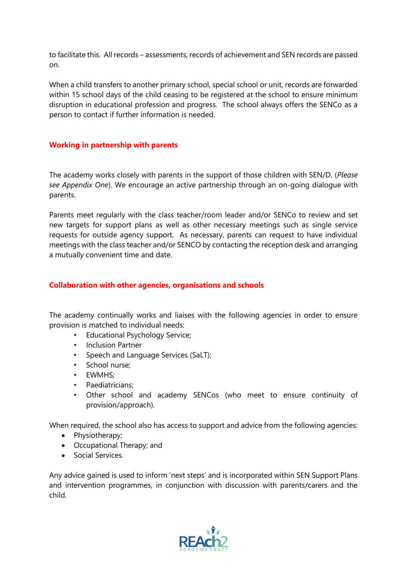to facilitate this. All records – assessments, records of achievement and SEN records are passed on.

When a child transfers to another primary school, special school or unit, records are forwarded within 15 school days of the child ceasing to be registered at the school to ensure minimum disruption in educational profession and progress. The school always offers the SENCo as a person to contact if further information is needed.

#### **Working in partnership with parents**

The academy works closely with parents in the support of those children with SEN/D. (*Please see Appendix One*). We encourage an active partnership through an on-going dialogue with parents.

Parents meet regularly with the class teacher/room leader and/or SENCo to review and set new targets for support plans as well as other necessary meetings such as single service requests for outside agency support. As necessary, parents can request to have individual meetings with the class teacher and/or SENCO by contacting the reception desk and arranging a mutually convenient time and date.

#### **Collaboration with other agencies, organisations and schools**

The academy continually works and liaises with the following agencies in order to ensure provision is matched to individual needs:

- Educational Psychology Service;
- Inclusion Partner
- Speech and Language Services (SaLT);
- School nurse;
- EWMHS;
- Paediatricians:
- Other school and academy SENCos (who meet to ensure continuity of provision/approach).

When required, the school also has access to support and advice from the following agencies:

- Physiotherapy;
- Occupational Therapy; and
- Social Services.

Any advice gained is used to inform 'next steps' and is incorporated within SEN Support Plans and intervention programmes, in conjunction with discussion with parents/carers and the child.

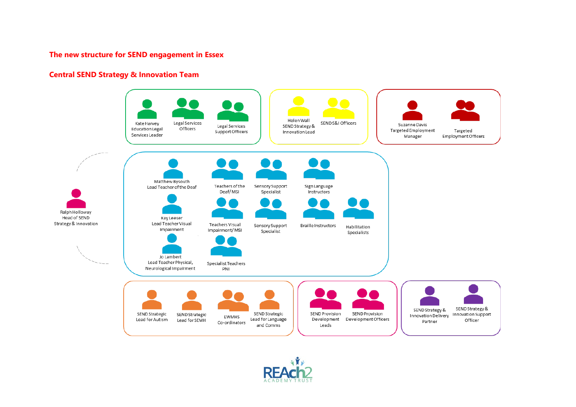#### **The new structure for SEND engagement in Essex**

#### **Central SEND Strategy & Innovation Team**



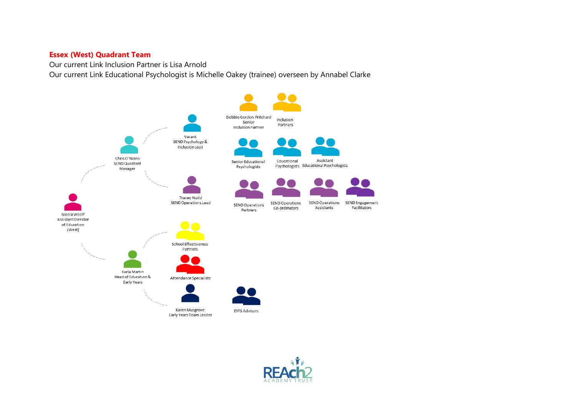#### **Essex (West) Quadrant Team**

Our current Link Inclusion Partner is Lisa Arnold

Our current Link Educational Psychologist is Michelle Oakey (trainee) overseen by Annabel Clarke



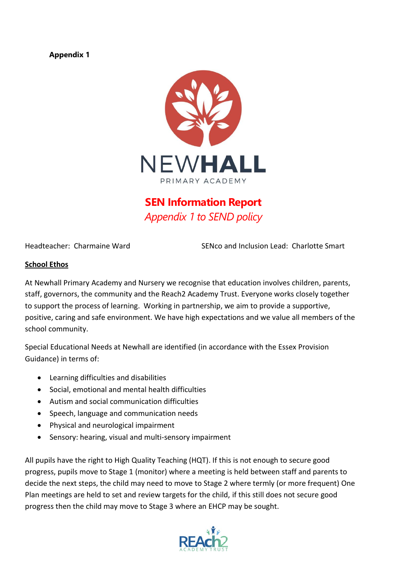#### **Appendix 1**



# **SEN Information Report** *Appendix 1 to SEND policy*

Headteacher: Charmaine Ward SENco and Inclusion Lead: Charlotte Smart

#### **School Ethos**

At Newhall Primary Academy and Nursery we recognise that education involves children, parents, staff, governors, the community and the Reach2 Academy Trust. Everyone works closely together to support the process of learning. Working in partnership, we aim to provide a supportive, positive, caring and safe environment. We have high expectations and we value all members of the school community.

Special Educational Needs at Newhall are identified (in accordance with the Essex Provision Guidance) in terms of:

- Learning difficulties and disabilities
- Social, emotional and mental health difficulties
- Autism and social communication difficulties
- Speech, language and communication needs
- Physical and neurological impairment
- Sensory: hearing, visual and multi-sensory impairment

All pupils have the right to High Quality Teaching (HQT). If this is not enough to secure good progress, pupils move to Stage 1 (monitor) where a meeting is held between staff and parents to decide the next steps, the child may need to move to Stage 2 where termly (or more frequent) One Plan meetings are held to set and review targets for the child, if this still does not secure good progress then the child may move to Stage 3 where an EHCP may be sought.

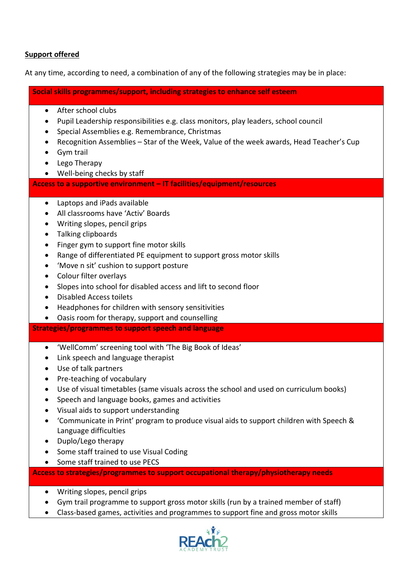#### **Support offered**

At any time, according to need, a combination of any of the following strategies may be in place:

**Social skills programmes/support, including strategies to enhance self esteem**

- After school clubs
- Pupil Leadership responsibilities e.g. class monitors, play leaders, school council
- Special Assemblies e.g. Remembrance, Christmas
- Recognition Assemblies Star of the Week, Value of the week awards, Head Teacher's Cup
- Gym trail
- Lego Therapy
- Well-being checks by staff

**Access to a supportive environment – IT facilities/equipment/resources**

- Laptops and iPads available
- All classrooms have 'Activ' Boards
- Writing slopes, pencil grips
- Talking clipboards
- Finger gym to support fine motor skills
- Range of differentiated PE equipment to support gross motor skills
- 'Move n sit' cushion to support posture
- Colour filter overlays
- Slopes into school for disabled access and lift to second floor
- Disabled Access toilets
- Headphones for children with sensory sensitivities
- Oasis room for therapy, support and counselling

**Strategies/programmes to support speech and language**

- 'WellComm' screening tool with 'The Big Book of Ideas'
- Link speech and language therapist
- Use of talk partners
- Pre-teaching of vocabulary
- Use of visual timetables (same visuals across the school and used on curriculum books)
- Speech and language books, games and activities
- Visual aids to support understanding
- 'Communicate in Print' program to produce visual aids to support children with Speech & Language difficulties
- Duplo/Lego therapy
- Some staff trained to use Visual Coding
- Some staff trained to use PECS

**Access to strategies/programmes to support occupational therapy/physiotherapy needs**

- Writing slopes, pencil grips
- Gym trail programme to support gross motor skills (run by a trained member of staff)
- Class-based games, activities and programmes to support fine and gross motor skills

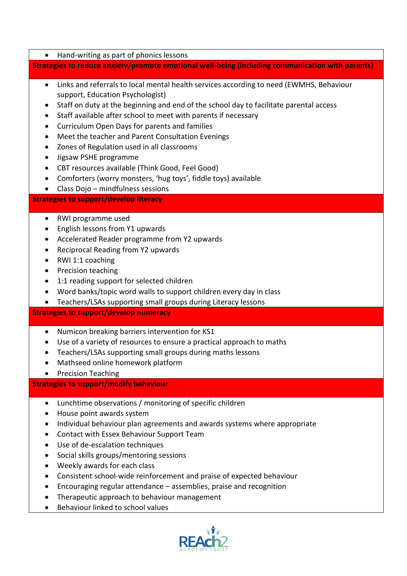• Hand-writing as part of phonics lessons

#### **Strategies to reduce anxiety/promote emotional well-being (including communication with parents)**

- Links and referrals to local mental health services according to need (EWMHS, Behaviour support, Education Psychologist)
- Staff on duty at the beginning and end of the school day to facilitate parental access
- Staff available after school to meet with parents if necessary
- Curriculum Open Days for parents and families
- Meet the teacher and Parent Consultation Evenings
- Zones of Regulation used in all classrooms
- Jigsaw PSHE programme
- CBT resources available (Think Good, Feel Good)
- Comforters (worry monsters, 'hug toys', fiddle toys) available
- Class Dojo mindfulness sessions

#### **Strategies to support/develop literacy**

- RWI programme used
- English lessons from Y1 upwards
- Accelerated Reader programme from Y2 upwards
- Reciprocal Reading from Y2 upwards
- RWI 1:1 coaching
- Precision teaching
- 1:1 reading support for selected children
- Word banks/topic word walls to support children every day in class
- Teachers/LSAs supporting small groups during Literacy lessons

#### **Strategies to support/develop numeracy**

- Numicon breaking barriers intervention for KS1
- Use of a variety of resources to ensure a practical approach to maths
- Teachers/LSAs supporting small groups during maths lessons
- Mathseed online homework platform
- Precision Teaching

#### **Strategies to support/modify behaviour**

- Lunchtime observations / monitoring of specific children
- House point awards system
- Individual behaviour plan agreements and awards systems where appropriate
- Contact with Essex Behaviour Support Team
- Use of de-escalation techniques
- Social skills groups/mentoring sessions
- Weekly awards for each class
- Consistent school-wide reinforcement and praise of expected behaviour
- Encouraging regular attendance assemblies, praise and recognition
- Therapeutic approach to behaviour management
- Behaviour linked to school values

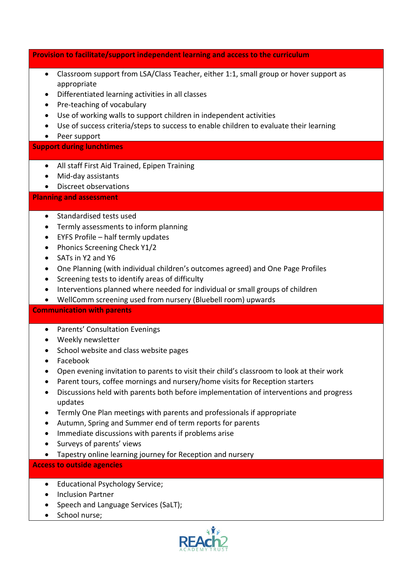**Provision to facilitate/support independent learning and access to the curriculum**

- Classroom support from LSA/Class Teacher, either 1:1, small group or hover support as appropriate
- Differentiated learning activities in all classes
- Pre-teaching of vocabulary
- Use of working walls to support children in independent activities
- Use of success criteria/steps to success to enable children to evaluate their learning
- Peer support

#### **Support during lunchtimes**

- All staff First Aid Trained, Epipen Training
- Mid-day assistants
- Discreet observations

**Planning and assessment**

- Standardised tests used
- Termly assessments to inform planning
- EYFS Profile half termly updates
- Phonics Screening Check Y1/2
- SATs in Y2 and Y6
- One Planning (with individual children's outcomes agreed) and One Page Profiles
- Screening tests to identify areas of difficulty
- Interventions planned where needed for individual or small groups of children
- WellComm screening used from nursery (Bluebell room) upwards

#### **Communication with parents**

- Parents' Consultation Evenings
- Weekly newsletter
- School website and class website pages
- Facebook
- Open evening invitation to parents to visit their child's classroom to look at their work
- Parent tours, coffee mornings and nursery/home visits for Reception starters
- Discussions held with parents both before implementation of interventions and progress updates
- Termly One Plan meetings with parents and professionals if appropriate
- Autumn, Spring and Summer end of term reports for parents
- Immediate discussions with parents if problems arise
- Surveys of parents' views
- Tapestry online learning journey for Reception and nursery

# **Access to outside agencies**

- Educational Psychology Service;
- Inclusion Partner
- Speech and Language Services (SaLT);
- School nurse;

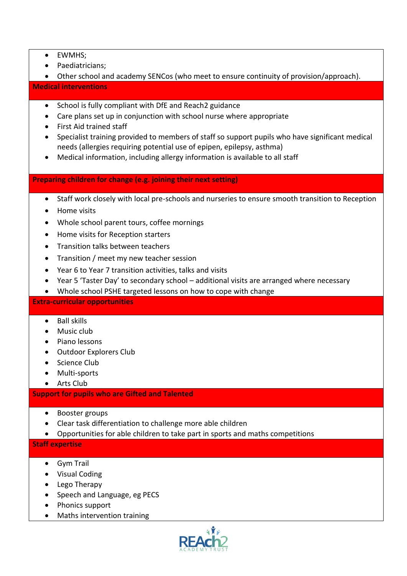- EWMHS;
- Paediatricians;
- Other school and academy SENCos (who meet to ensure continuity of provision/approach). **Medical interventions**
	- School is fully compliant with DfE and Reach2 guidance
	- Care plans set up in conjunction with school nurse where appropriate
	- First Aid trained staff
	- Specialist training provided to members of staff so support pupils who have significant medical needs (allergies requiring potential use of epipen, epilepsy, asthma)
	- Medical information, including allergy information is available to all staff

#### **Preparing children for change (e.g. joining their next setting)**

- Staff work closely with local pre-schools and nurseries to ensure smooth transition to Reception
- Home visits
- Whole school parent tours, coffee mornings
- Home visits for Reception starters
- Transition talks between teachers
- Transition / meet my new teacher session
- Year 6 to Year 7 transition activities, talks and visits
- Year 5 'Taster Day' to secondary school additional visits are arranged where necessary
- Whole school PSHE targeted lessons on how to cope with change

#### **Extra-curricular opportunities**

- Ball skills
- Music club
- Piano lessons
- Outdoor Explorers Club
- Science Club
- Multi-sports
- Arts Club

#### **Support for pupils who are Gifted and Talented**

- Booster groups
- Clear task differentiation to challenge more able children
- Opportunities for able children to take part in sports and maths competitions

#### **Staff expertise**

- Gym Trail
- Visual Coding
- Lego Therapy
- Speech and Language, eg PECS
- Phonics support
- Maths intervention training